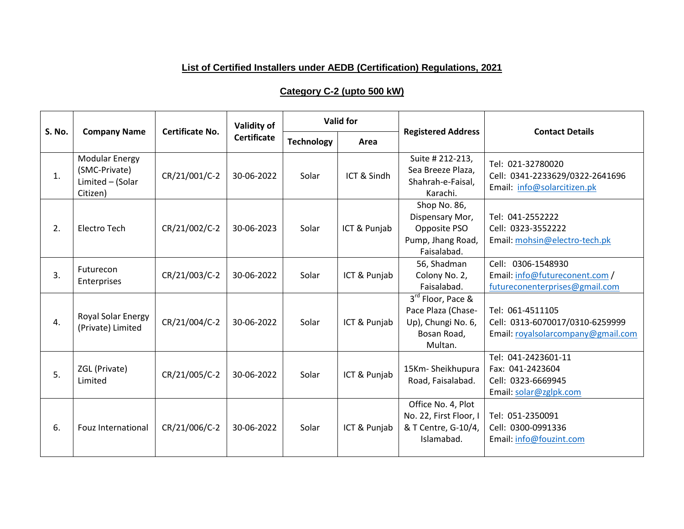## **List of Certified Installers under AEDB (Certification) Regulations, 2021**

## **Category C-2 (upto 500 kW)**

|               | <b>Company Name</b>                                                    | <b>Certificate No.</b> | Validity of<br><b>Certificate</b> | <b>Valid for</b>  |              |                                                                                         |                                                                                           |
|---------------|------------------------------------------------------------------------|------------------------|-----------------------------------|-------------------|--------------|-----------------------------------------------------------------------------------------|-------------------------------------------------------------------------------------------|
| <b>S. No.</b> |                                                                        |                        |                                   | <b>Technology</b> | Area         | <b>Registered Address</b>                                                               | <b>Contact Details</b>                                                                    |
| 1.            | <b>Modular Energy</b><br>(SMC-Private)<br>Limited - (Solar<br>Citizen) | CR/21/001/C-2          | 30-06-2022                        | Solar             | ICT & Sindh  | Suite # 212-213,<br>Sea Breeze Plaza,<br>Shahrah-e-Faisal,<br>Karachi.                  | Tel: 021-32780020<br>Cell: 0341-2233629/0322-2641696<br>Email: info@solarcitizen.pk       |
| 2.            | <b>Electro Tech</b>                                                    | CR/21/002/C-2          | 30-06-2023                        | Solar             | ICT & Punjab | Shop No. 86,<br>Dispensary Mor,<br>Opposite PSO<br>Pump, Jhang Road,<br>Faisalabad.     | Tel: 041-2552222<br>Cell: 0323-3552222<br>Email: mohsin@electro-tech.pk                   |
| 3.            | Futurecon<br>Enterprises                                               | CR/21/003/C-2          | 30-06-2022                        | Solar             | ICT & Punjab | 56, Shadman<br>Colony No. 2,<br>Faisalabad.                                             | Cell: 0306-1548930<br>Email: info@futureconent.com /<br>futureconenterprises@gmail.com    |
| 4.            | Royal Solar Energy<br>(Private) Limited                                | CR/21/004/C-2          | 30-06-2022                        | Solar             | ICT & Punjab | 3rd Floor, Pace &<br>Pace Plaza (Chase-<br>Up), Chungi No. 6,<br>Bosan Road,<br>Multan. | Tel: 061-4511105<br>Cell: 0313-6070017/0310-6259999<br>Email: royalsolarcompany@gmail.com |
| 5.            | ZGL (Private)<br>Limited                                               | CR/21/005/C-2          | 30-06-2022                        | Solar             | ICT & Punjab | 15Km-Sheikhupura<br>Road, Faisalabad.                                                   | Tel: 041-2423601-11<br>Fax: 041-2423604<br>Cell: 0323-6669945<br>Email: solar@zglpk.com   |
| 6.            | <b>Fouz International</b>                                              | CR/21/006/C-2          | 30-06-2022                        | Solar             | ICT & Punjab | Office No. 4, Plot<br>No. 22, First Floor, I<br>& T Centre, G-10/4,<br>Islamabad.       | Tel: 051-2350091<br>Cell: 0300-0991336<br>Email: info@fouzint.com                         |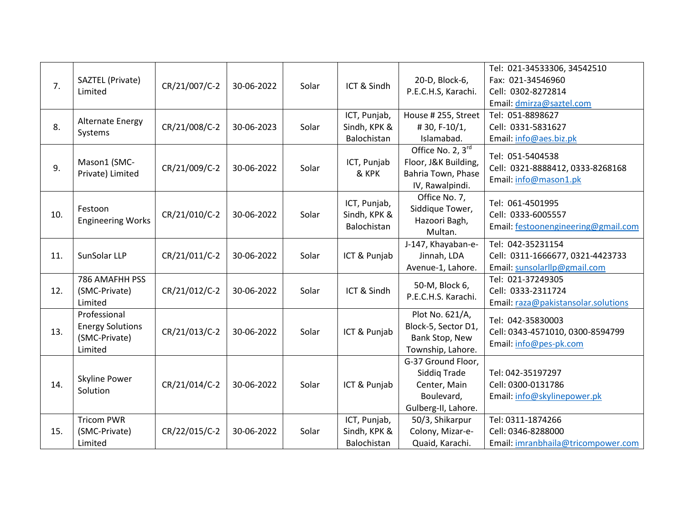| 7.  | SAZTEL (Private)<br>Limited                                         | CR/21/007/C-2 | 30-06-2022 | Solar | ICT & Sindh                                 | 20-D, Block-6,<br>P.E.C.H.S, Karachi.                                                   | Tel: 021-34533306, 34542510<br>Fax: 021-34546960<br>Cell: 0302-8272814<br>Email: dmirza@saztel.com |
|-----|---------------------------------------------------------------------|---------------|------------|-------|---------------------------------------------|-----------------------------------------------------------------------------------------|----------------------------------------------------------------------------------------------------|
| 8.  | <b>Alternate Energy</b><br>Systems                                  | CR/21/008/C-2 | 30-06-2023 | Solar | ICT, Punjab,<br>Sindh, KPK &<br>Balochistan | House # 255, Street<br>#30, F-10/1,<br>Islamabad.                                       | Tel: 051-8898627<br>Cell: 0331-5831627<br>Email: info@aes.biz.pk                                   |
| 9.  | Mason1 (SMC-<br>Private) Limited                                    | CR/21/009/C-2 | 30-06-2022 | Solar | ICT, Punjab<br>& KPK                        | Office No. $2, 3^{rd}$<br>Floor, J&K Building,<br>Bahria Town, Phase<br>IV, Rawalpindi. | Tel: 051-5404538<br>Cell: 0321-8888412, 0333-8268168<br>Email: info@mason1.pk                      |
| 10. | Festoon<br><b>Engineering Works</b>                                 | CR/21/010/C-2 | 30-06-2022 | Solar | ICT, Punjab,<br>Sindh, KPK &<br>Balochistan | Office No. 7,<br>Siddique Tower,<br>Hazoori Bagh,<br>Multan.                            | Tel: 061-4501995<br>Cell: 0333-6005557<br>Email: festoonengineering@gmail.com                      |
| 11. | SunSolar LLP                                                        | CR/21/011/C-2 | 30-06-2022 | Solar | ICT & Punjab                                | J-147, Khayaban-e-<br>Jinnah, LDA<br>Avenue-1, Lahore.                                  | Tel: 042-35231154<br>Cell: 0311-1666677, 0321-4423733<br>Email: sunsolarllp@gmail.com              |
| 12. | 786 AMAFHH PSS<br>(SMC-Private)<br>Limited                          | CR/21/012/C-2 | 30-06-2022 | Solar | ICT & Sindh                                 | 50-M, Block 6,<br>P.E.C.H.S. Karachi.                                                   | Tel: 021-37249305<br>Cell: 0333-2311724<br>Email: raza@pakistansolar.solutions                     |
| 13. | Professional<br><b>Energy Solutions</b><br>(SMC-Private)<br>Limited | CR/21/013/C-2 | 30-06-2022 | Solar | ICT & Punjab                                | Plot No. 621/A,<br>Block-5, Sector D1,<br>Bank Stop, New<br>Township, Lahore.           | Tel: 042-35830003<br>Cell: 0343-4571010, 0300-8594799<br>Email: info@pes-pk.com                    |
| 14. | Skyline Power<br>Solution                                           | CR/21/014/C-2 | 30-06-2022 | Solar | ICT & Punjab                                | G-37 Ground Floor,<br>Siddiq Trade<br>Center, Main<br>Boulevard,<br>Gulberg-II, Lahore. | Tel: 042-35197297<br>Cell: 0300-0131786<br>Email: info@skylinepower.pk                             |
| 15. | <b>Tricom PWR</b><br>(SMC-Private)<br>Limited                       | CR/22/015/C-2 | 30-06-2022 | Solar | ICT, Punjab,<br>Sindh, KPK &<br>Balochistan | 50/3, Shikarpur<br>Colony, Mizar-e-<br>Quaid, Karachi.                                  | Tel: 0311-1874266<br>Cell: 0346-8288000<br>Email: imranbhaila@tricompower.com                      |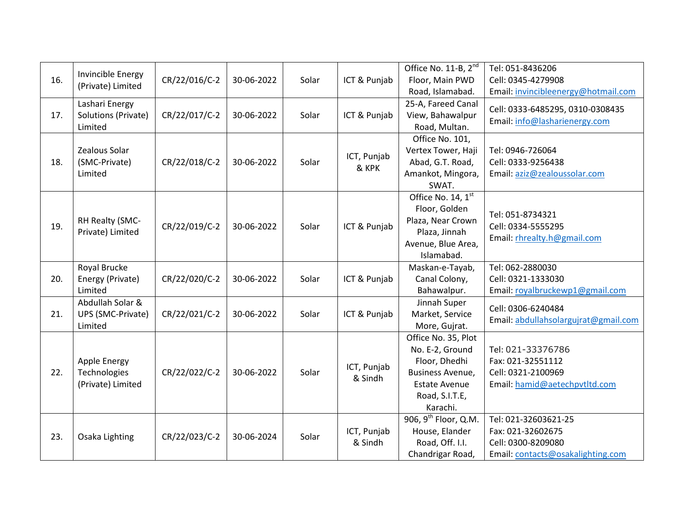|     | Invincible Energy                                 |               |            |       |                        | Office No. 11-B, $2^{nd}$                                                                                                         | Tel: 051-8436206                                                                                     |
|-----|---------------------------------------------------|---------------|------------|-------|------------------------|-----------------------------------------------------------------------------------------------------------------------------------|------------------------------------------------------------------------------------------------------|
| 16. | (Private) Limited                                 | CR/22/016/C-2 | 30-06-2022 | Solar | ICT & Punjab           | Floor, Main PWD                                                                                                                   | Cell: 0345-4279908                                                                                   |
|     |                                                   |               |            |       |                        | Road, Islamabad.                                                                                                                  | Email: invincibleenergy@hotmail.com                                                                  |
| 17. | Lashari Energy<br>Solutions (Private)<br>Limited  | CR/22/017/C-2 | 30-06-2022 | Solar | ICT & Punjab           | 25-A, Fareed Canal<br>View, Bahawalpur<br>Road, Multan.                                                                           | Cell: 0333-6485295, 0310-0308435<br>Email: info@lasharienergy.com                                    |
| 18. | Zealous Solar<br>(SMC-Private)<br>Limited         | CR/22/018/C-2 | 30-06-2022 | Solar | ICT, Punjab<br>& KPK   | Office No. 101,<br>Vertex Tower, Haji<br>Abad, G.T. Road,<br>Amankot, Mingora,<br>SWAT.                                           | Tel: 0946-726064<br>Cell: 0333-9256438<br>Email: aziz@zealoussolar.com                               |
| 19. | RH Realty (SMC-<br>Private) Limited               | CR/22/019/C-2 | 30-06-2022 | Solar | ICT & Punjab           | Office No. 14, 1st<br>Floor, Golden<br>Plaza, Near Crown<br>Plaza, Jinnah<br>Avenue, Blue Area,<br>Islamabad.                     | Tel: 051-8734321<br>Cell: 0334-5555295<br>Email: rhrealty.h@gmail.com                                |
| 20. | Royal Brucke<br>Energy (Private)<br>Limited       | CR/22/020/C-2 | 30-06-2022 | Solar | ICT & Punjab           | Maskan-e-Tayab,<br>Canal Colony,<br>Bahawalpur.                                                                                   | Tel: 062-2880030<br>Cell: 0321-1333030<br>Email: royalbruckewp1@gmail.com                            |
| 21. | Abdullah Solar &<br>UPS (SMC-Private)<br>Limited  | CR/22/021/C-2 | 30-06-2022 | Solar | ICT & Punjab           | Jinnah Super<br>Market, Service<br>More, Gujrat.                                                                                  | Cell: 0306-6240484<br>Email: abdullahsolargujrat@gmail.com                                           |
| 22. | Apple Energy<br>Technologies<br>(Private) Limited | CR/22/022/C-2 | 30-06-2022 | Solar | ICT, Punjab<br>& Sindh | Office No. 35, Plot<br>No. E-2, Ground<br>Floor, Dhedhi<br>Business Avenue,<br><b>Estate Avenue</b><br>Road, S.I.T.E,<br>Karachi. | Tel: 021-33376786<br>Fax: 021-32551112<br>Cell: 0321-2100969<br>Email: hamid@aetechpvtltd.com        |
| 23. | Osaka Lighting                                    | CR/22/023/C-2 | 30-06-2024 | Solar | ICT, Punjab<br>& Sindh | 906, 9 <sup>th</sup> Floor, Q.M.<br>House, Elander<br>Road, Off. I.I.<br>Chandrigar Road,                                         | Tel: 021-32603621-25<br>Fax: 021-32602675<br>Cell: 0300-8209080<br>Email: contacts@osakalighting.com |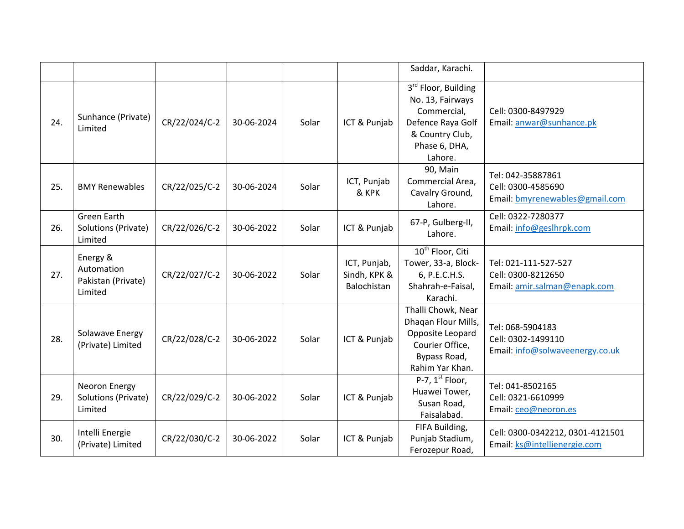|     |                                                         |               |            |       |                                             | Saddar, Karachi.                                                                                                                       |                                                                            |
|-----|---------------------------------------------------------|---------------|------------|-------|---------------------------------------------|----------------------------------------------------------------------------------------------------------------------------------------|----------------------------------------------------------------------------|
| 24. | Sunhance (Private)<br>Limited                           | CR/22/024/C-2 | 30-06-2024 | Solar | ICT & Punjab                                | 3 <sup>rd</sup> Floor, Building<br>No. 13, Fairways<br>Commercial,<br>Defence Raya Golf<br>& Country Club,<br>Phase 6, DHA,<br>Lahore. | Cell: 0300-8497929<br>Email: anwar@sunhance.pk                             |
| 25. | <b>BMY Renewables</b>                                   | CR/22/025/C-2 | 30-06-2024 | Solar | ICT, Punjab<br>& KPK                        | 90, Main<br>Commercial Area,<br>Cavalry Ground,<br>Lahore.                                                                             | Tel: 042-35887861<br>Cell: 0300-4585690<br>Email: bmyrenewables@gmail.com  |
| 26. | <b>Green Earth</b><br>Solutions (Private)<br>Limited    | CR/22/026/C-2 | 30-06-2022 | Solar | ICT & Punjab                                | 67-P, Gulberg-II,<br>Lahore.                                                                                                           | Cell: 0322-7280377<br>Email: info@geslhrpk.com                             |
| 27. | Energy &<br>Automation<br>Pakistan (Private)<br>Limited | CR/22/027/C-2 | 30-06-2022 | Solar | ICT, Punjab,<br>Sindh, KPK &<br>Balochistan | $10^{th}$ Floor, Citi<br>Tower, 33-a, Block-<br>6, P.E.C.H.S.<br>Shahrah-e-Faisal,<br>Karachi.                                         | Tel: 021-111-527-527<br>Cell: 0300-8212650<br>Email: amir.salman@enapk.com |
| 28. | Solawave Energy<br>(Private) Limited                    | CR/22/028/C-2 | 30-06-2022 | Solar | ICT & Punjab                                | Thalli Chowk, Near<br>Dhaqan Flour Mills,<br>Opposite Leopard<br>Courier Office,<br>Bypass Road,<br>Rahim Yar Khan.                    | Tel: 068-5904183<br>Cell: 0302-1499110<br>Email: info@solwaveenergy.co.uk  |
| 29. | Neoron Energy<br>Solutions (Private)<br>Limited         | CR/22/029/C-2 | 30-06-2022 | Solar | ICT & Punjab                                | P-7, $1st$ Floor,<br>Huawei Tower,<br>Susan Road,<br>Faisalabad.                                                                       | Tel: 041-8502165<br>Cell: 0321-6610999<br>Email: ceo@neoron.es             |
| 30. | Intelli Energie<br>(Private) Limited                    | CR/22/030/C-2 | 30-06-2022 | Solar | ICT & Punjab                                | FIFA Building,<br>Punjab Stadium,<br>Ferozepur Road,                                                                                   | Cell: 0300-0342212, 0301-4121501<br>Email: ks@intellienergie.com           |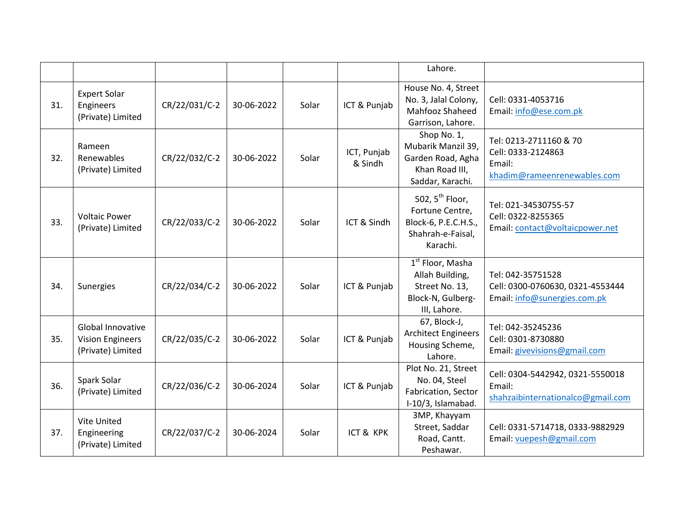|     |                                                                   |               |            |       |                        | Lahore.                                                                                                |                                                                                       |
|-----|-------------------------------------------------------------------|---------------|------------|-------|------------------------|--------------------------------------------------------------------------------------------------------|---------------------------------------------------------------------------------------|
| 31. | <b>Expert Solar</b><br>Engineers<br>(Private) Limited             | CR/22/031/C-2 | 30-06-2022 | Solar | ICT & Punjab           | House No. 4, Street<br>No. 3, Jalal Colony,<br>Mahfooz Shaheed<br>Garrison, Lahore.                    | Cell: 0331-4053716<br>Email: info@ese.com.pk                                          |
| 32. | Rameen<br>Renewables<br>(Private) Limited                         | CR/22/032/C-2 | 30-06-2022 | Solar | ICT, Punjab<br>& Sindh | Shop No. 1,<br>Mubarik Manzil 39,<br>Garden Road, Agha<br>Khan Road III,<br>Saddar, Karachi.           | Tel: 0213-2711160 & 70<br>Cell: 0333-2124863<br>Email:<br>khadim@rameenrenewables.com |
| 33. | <b>Voltaic Power</b><br>(Private) Limited                         | CR/22/033/C-2 | 30-06-2022 | Solar | ICT & Sindh            | 502, $5^{th}$ Floor,<br>Fortune Centre,<br>Block-6, P.E.C.H.S.,<br>Shahrah-e-Faisal,<br>Karachi.       | Tel: 021-34530755-57<br>Cell: 0322-8255365<br>Email: contact@voltaicpower.net         |
| 34. | Sunergies                                                         | CR/22/034/C-2 | 30-06-2022 | Solar | ICT & Punjab           | 1 <sup>st</sup> Floor, Masha<br>Allah Building,<br>Street No. 13,<br>Block-N, Gulberg-<br>III, Lahore. | Tel: 042-35751528<br>Cell: 0300-0760630, 0321-4553444<br>Email: info@sunergies.com.pk |
| 35. | Global Innovative<br><b>Vision Engineers</b><br>(Private) Limited | CR/22/035/C-2 | 30-06-2022 | Solar | ICT & Punjab           | 67, Block-J,<br><b>Architect Engineers</b><br>Housing Scheme,<br>Lahore.                               | Tel: 042-35245236<br>Cell: 0301-8730880<br>Email: givevisions@gmail.com               |
| 36. | Spark Solar<br>(Private) Limited                                  | CR/22/036/C-2 | 30-06-2024 | Solar | ICT & Punjab           | Plot No. 21, Street<br>No. 04, Steel<br>Fabrication, Sector<br>I-10/3, Islamabad.                      | Cell: 0304-5442942, 0321-5550018<br>Email:<br>shahzaibinternationalco@gmail.com       |
| 37. | Vite United<br>Engineering<br>(Private) Limited                   | CR/22/037/C-2 | 30-06-2024 | Solar | ICT & KPK              | 3MP, Khayyam<br>Street, Saddar<br>Road, Cantt.<br>Peshawar.                                            | Cell: 0331-5714718, 0333-9882929<br>Email: vuepesh@gmail.com                          |